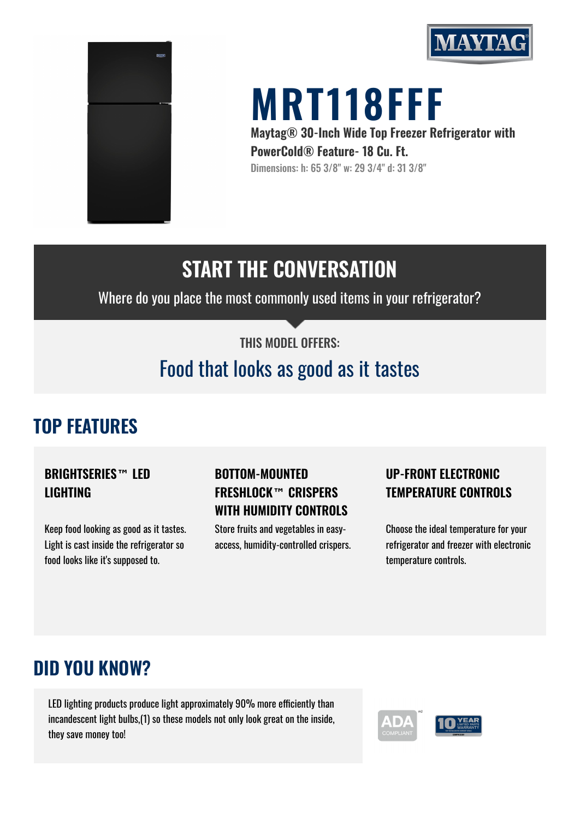



# **MRT118FFF**

**Maytag® 30-Inch Wide Top Freezer Refrigerator with PowerCold® Feature- 18 Cu. Ft.** Dimensions: h: 65 3/8" w: 29 3/4" d: 31 3/8"

# **START THE CONVERSATION**

Where do you place the most commonly used items in your refrigerator?

#### THIS MODEL OFFERS:

# Food that looks as good as it tastes

## **TOP FEATURES**

#### **BRIGHTSERIES™ LED LIGHTING**

Keep food looking as good as it tastes. Light is cast inside the refrigerator so food looks like it's supposed to.

#### **BOTTOM-MOUNTED FRESHLOCK™ CRISPERS WITH HUMIDITY CONTROLS**

Store fruits and vegetables in easyaccess, humidity-controlled crispers.

#### **UP-FRONT ELECTRONIC TEMPERATURE CONTROLS**

Choose the ideal temperature for your refrigerator and freezer with electronic temperature controls.

### **DID YOU KNOW?**

LED lighting products produce light approximately 90% more efficiently than incandescent light bulbs,(1) so these models not only look great on the inside, they save money too!